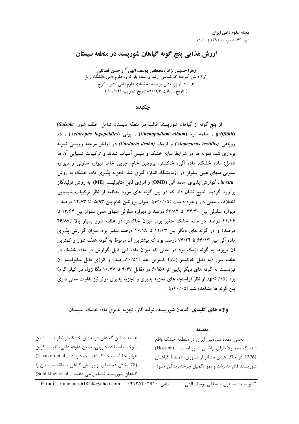**ارزش غذایی پنج گونه گیاهان شورپسند در منطقه سیستان** 

  **<sup>1</sup> #\$ % & '" \*2 +,-. / \* <sup>3</sup> ۱و۲** دانش اموخته کارشناسی ارشد و استاد یار گروه علوم دامی دانشگاه زابل **\$ % &'(')\* + ,--. ( %3 ( 90/9/29 9"8\* 2"\* -90/2/6 01" 2"\* )**

چکى*د*ە

از پنج گونه از گیاهان شورپسند غالب در منطقه سیستان شامل علف شور Salsola) **% (***Aeluropus logopoidies***) % (***Chenopodium album***) \* A %** *griffithii***)** روباهی (Alopecurus textillis) و ازمک (Cardaria draba) در اواخر مرحله رویشی نمونه برداری شد. نمونه ها در شرایط سایه خشک و سپس اسیاب شدند و ترکیبات شمیایی ان ها شامل: ماده خشک، ماده الی، خاکستر، پروتئین خام، چربی خام، دیواره سلولی و دیواره سلولی منهای همی سلولز در ازمایشگاه اندازه گیری شد. تجزیه پذیری ماده خشک به روش **!(>\* Q- (ME) T+(> U DV - (OMD) > D "R. Q! %** *in situ* براورد گردید. نتایج نشان داد که در بین گونه های مورد مطالعه از نظر ترکیبات شیمیایی اختلافات معنی دار وجود داشت (p<**·**/·۵). میزان پروتئین خام بین ۵/۹۳ تا ۱۴/۷۳ درصد ، دیواره سلولی بین ۳۴/۳۰ تا ۶۶/۸۲ درصد و دیواره سلولی منهای همی سلولز بین ۱۳/۶۴ تا **46/87) a (+ ; + <O( . (` B ^ 41/46** درصد) و در گونه های دیگر بین ۱۲/۶۳ تا ۱۶/۱۸ درصد متغیر بود. میزان گوارش پذیری ماده الی بین ۶۶/۱۳ تا ۷۶/۲۴ درصد بود که بیشترین ان مربوط به گونه علف شور و کمترین آن مربوط به گونه ازمک بود در حالی که میزان ماده آلی قابل گوارش در ماده خشک در علف شور (به دلیل خاکستر زیاد) کمترین حد (۴۰/۵۱درصد) و انرژی قابل متابولیسم ان **( ! ( c-V 10/37 \* 9/47 ' 6/95) \* M(". " D, ! 0F+O(** بود (۱۰۵×.p<). از نظر فراسنجه های تجزیه پذیری و تجزیه پذیری موثر نیز تفاوت معنی داری **.(p<0/05) , , ! M(**

**واژه های کلیدی**: گیاهان شورپسند، تولید گاز، تجزیه پذیری ماده خشک، سیستان

مقدمه

هستنـد. این گیاهان درمناطق خشک از نظر تــــــامین سوخت، استفاده داروئی، تامین علوفه دامی، تثبیت کربن (Tavakoli et al., موا و حفاظت خـاک اهمیـت دارنـد (78. بخش عمده ای از پوشش گیاهی منطقه سیستان را گیاهان شورپسند تشکیل می دهند ,.Sobhkhizi et al

بخش عمده سرزمین ایران در منطقه خشک واقع شده که معمـولا دارای اراضـی شـور اسـت۔,Hosseini (1376. در خاک هـای متـاثر از شـوری، عمـدتأ گیاهـان شورپسند قادر به رشد و نمو تکمیل چرخه زندگی خـود

E-mail: iranmanesh1824@yahoo.com • ٩١٢٥٢٠٢٩١٠ : تلفن \* نويسنده مسئول: مصطفى يوسف الهي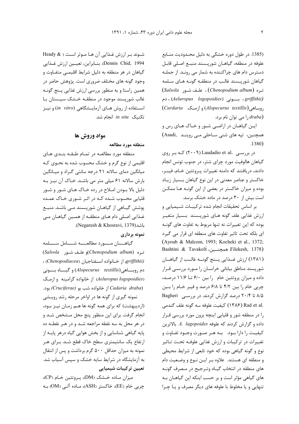(1385. در طول دوره خشکی به دلیل محـدودیت منـابع علوفه در منطقه، گیاهـان شوریـسند منبـع اصـلی قابـل دسترس دام های چراکننده به شمار می رونـد. از جملـه گیاهان شورپسند غالب در منطقـه گونـه هـای سـلمه تره (Chenopodium album)، علف شور Salsola) eriffithii)، بونی (Aeluropus logopoidies)، دم (er (Alopecurus textillis) و ازمك Cardaria ا می توان نام برد.  $draba)$ 

ايـن گياهـان در اراضـي شـور و خـاک هـاي رس و همچنین، تیه های شنی سـاحلی مـی روینـد (Asadi  $.1380)$ 

در بررسـی .Laudadio et al (۲۰۰۹) کـه بـر روی گیاهان هالوفیت مورد چرای شتر، در جنوب تونس انجام دادند، دریافتند که دامنه تغییرات پـروتئین خـام، فیبـر، خاکستر و عناصر معدنی در این نوع گیاهان بـسیار زیـاد بوده و میزان خاکستر در بعضی از این گونـه هـا ممکـن است بیش از ۳۰ درصد در ماده خشک برسد.

بر اساس تحقیقات انجام شده ترکیبـات شـیمیایی و ارزش غذایی علف گونه هـای شورپـسند بـسیار متغیـر بوده که این تغییرات نه تنها مربوط به تفاوت های گونـه ای بلکه تحت تاثیر تفاوت های منطقه ای قرار می گیرد (Ayoub & Malcom, 1993; Kocheki et al., 1372; Bashtini & Tavakoli همچنسین، Filekesh, 1378) (١٣٨١) ارزش غــذايي بــنج گونــه غالــب از گياهــان شورپسند مناطق بیابانی خراسـان را مـورد بررسـی قـرار داده و میزان پروتئین خام را بین ۶/۰ تا ۱۱/۶ درصد، چربی خام را بین ۴/۲ تا ۶/۸ درصد و فیبر خـام را بـین ۸/۵ تا ۲۰/۴ درصد گزارش کردند. در بررسی Bagheri .Rad et al (١٣٨۶) كيفيت علوفه سه گونه علف گندمي را در منطقه شور و قلیایی اینچه برون مورد بررسی قـرار  $\mu$  داده و گزارش کردند که علوفه A. lagopoides كيفيت را دارا بود. به هـر صـورت وجـود تفـاوت و تغییرات در ترکیبات و ارزش غذایی علوفـه تحـت تـاثیر نوع و گونه گیاهی بوده که خود تابعی از شرایط محیطی و منطقه ای هستند. علاوه بر ایـن نـوع و وضـعیت دام های منطقه در انتخاب گیـاه وتـرجیح در مـصرف گونـه های گیاهی مؤثر است و بر حسب اینکه این گیاهـان بـه تنهایی و یا مخلوط با علوفه های دیگر مصرف و یـا چـرا

 $Heady &$  شوند بر ارزش غـذایی آن هـا مـوثر اسـت ( & Heady Dennis Chid, 1994. بنابراين، تعيين ارزش غذايي گیاهان در هر منطقه به دلیل شرایط اقلیمــی متفـاوت و وجود گونه های مختلف ضروری است. پژوهش حاضر در همین راستا و به منظور بررسی ارزش غذایی پنج گونـه غالب شوریسند موجود در منطقـه خـشک سیـستان بـا اسـتفاده از روش هـای آزمایـشگاهی (in vitro) و نیـز تكنيك in situ انجام شد.

## مواد وروش ها

منطقه مورد مطالعه

منطقه مورد مطالعـه در تمـام طبقـه بنـدى هـاى اقلیمی از نوع گرم و خشک محسوب شده به نحـوی کـه میانگین دمای سالانه ۲۱ درجه سانتی گـراد و میـانگین بارش سالانه ۶۱ میلی متر می باشـد. خـاک آن نیـز بـه دلیل بالا بـودن امـلاح در رده خـاک هـای شـور و شـور قلیایی محسوب شـده کـه در اثـر شـوری خـاک عمـده پوشش گیـاهی از گیاهـان شورپـسند مـی باشـد. منبـع غـذایی اصـلی دام هـای منطقـه از همـین گیاهـان مـی باشد(Negaresh & Khosravi, 1379).

#### نمونه برداري

كياهسان مسورد مطالعسمه شسامل سسلمه تره (Chenopodium album)و علـف شـور (Salsola griffithii) از خـانواده اســفناجيان (Chenopodiacea) ، دم روبــــاهي(Alopecurus textillis) و گيـــــاه بــــوني (Aeluropus logopoidies) از خانواده گرامینه و ازمک (Cadaria draba) از خانواده شب بو (Cruciferae) بود.

نمونه گیری از گونه ها در اواخر مرحله رشد رویشی (اردیبهشت) که برای همه گونه ها هـم زمـان نیـز بـود، انجام گرفت. برای این منظور پنج محل مـشخص شـد و در هر محل به سه نقطه مراجعه شـد و در هـر نقطـه ده پایه گیاهی شناسایی و از بخش هوایی گیاه درهر پایـه از ارتفاع یک سانتیمتری سطح خاک قطع شـد. بـرای هـر نمونه به میزان حداقل ۵۰۰ گرم برداشت و پس از انتقال به آزمایشگاه در شرایط سایه خشک و سپس آسیاب شد. تعیین ترکیبات شیمیایی

میزان مـاده خـشک (DM)، یـروتئین خـام (CP)، چربی خام (EE)، خاکستر (ASH)، مـاده آلـی (OM) بــه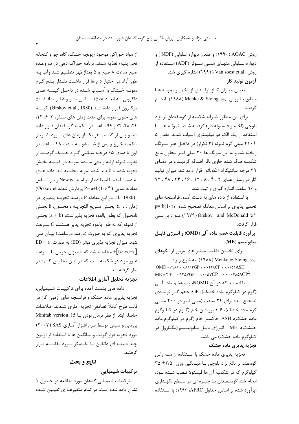روش AOAC (۱۹۹۰) و مقدار دیواره سلولی (NDF) و دیواره سـلولی منهـای همـی سـلولز (ADF) اسـتفاده از روش .Van soest et al (۱۹۹۱) اندازه گیری شد. آزمون توليد گاز

تعیین میـزان گـاز تولیـدی از تخمیـر نمونـه هـا مطابق بـا روش ,Menke & Steingass (١٩٨٨) انجـام گ فت.

برای این منظور شیرابه شکمبه از گوسفندان نر نژاد بلوچی (اخته و فیستوله دار) گرفتـه شـد. نمونـه هـا بـا استفاده از یک الک دو میلیمتری آسیاب شدند. مقدار ۵ +۲۱۰ میلی گرم نمونه (۳ تکرار) در داخـل هـر سـرنگ ریخته شد و به این سرنگ ها ۳۰ میلی لیتر محلول مایع شکمبه صاف شده حاوی بافر اضافه گردیـد و در دمـای ۳۹ درجه سانتیگراد آنکوباتور قرار داده شد. میزان تولید گاز در زمیان هیای ۲، ۴، ۸، ۲۲، ۱۶، ۲۴، ۴۸، ۲۴ و ۹۶ ساعت اندازه گیری و ثبت شد.

با استفاده از داده های به دست آمده، فراسنجه های  $p = b(1 - 1)$  تخمیر پذیری بر اساس معادله تصحیح شده ((-1 Orskov and McDonald (e<sup>-ct</sup>) مورد بررسی قرار گرفت.

بر آورد قابلیت هضم ماده آلی (OMD) و انرژی قابـل (ME) متابوليسم

برای تخمین قابلیت متغیر های مزبور از الگوهای : به شرح زير (١٩٨٨) Menke & Steingass,

 $OMD = \frac{\sqrt{3}}{4} + \frac{\sqrt{3}}{4} + \frac{\sqrt{3}}{4}$  $ME = \frac{7}{7} + \frac{1}{7}$   $\sqrt{G}P + \frac{1}{7} \cdot \sqrt{C}P + \frac{1}{7} \cdot \sqrt{C}P^2$ استفاده شد که در آن OMD:قابلیت هضم ماده آلـی (گرم در کیلوگرم ماده خشک)، GP: حجم گـاز تولیـدی تصحیح شده برای ۲۴ ساعت (میلی لیتر در ۲۰۰ میلی گرم ماده خشک)، CP: پروتئین خام (گرم در کیلوگرم ماده خشک)، ASH: خاکستر خام (گرم در کیلوگرم ماده خـشک)، ME : انـرژی قابـل متابوليــسم (مگــاژول در کیلوگرم ماده خشک) می باشد.

تجزیه پذیری ماده خشک

تجزیه پذیری ماده خشک با استفاده از سـه راس گوسفند نر بالغ نژاد بلوچی بـا میـانگین وزن ۲/۵± ۳۵ كيلوگرم كه در شكمبه آن ها فيستولا نـصب شـده بـود، انجام شد. گوسـفندان بـا جيـره اي در سـطح نگهـداري (برآورد شده بر اساس جداول AFRC، ۱۹۹۲) با استفاده

از مواد خوراکی موجود (یونجه خشک، کاه، جو و کنجاله تخم پنبه) تغذیه شدند. برنامه خوراک دهی در دو وعـده صبح ساعت ٨ صبح و ۵ بعدازظهر تنظيم شـد وآب بـه طور آزاد در اختیار دام ها قرار داشت.مقـدار پـنج گـرم نمونـه خـشک و آسـیاب شـده در داخـل کیــسه هـای داکرونی به ابعـاد ۸×۱۵ سـانتی متـر و قطـر منافـذ ۵۰ میک ون قـرار داده شـد (Ørskov et al., 1980). کیـسه های حاوی نمونه برای مدت زمان های صـفر، ۳، ۶، ۱۲، ۲۴، ۴۸، ۷۲ و ۹۶ ساعت در شکمبه گوسفندان قـرار داده شد و پس از گذشت هر یک از زمان های مــورد نظــر، از شکمبه خارج و پس از شستشو بـه مـدت ۴۸ سـاعت در آون با دمای ۶۵ درجـه سـانتی گـراد خـشک گردیـد. از تفاوت نمونه اوليه و باقي مانـده نمونـه در كيـسه بخـش تجزیه شده یا ناپدید شده نمونه محاسبه شد. داده هـای به دست آمده با استفاده از برنامـه Neway و بـر اسـاس (Ørskov et پردازش شدند P= a+b(1-e<sup>-ct</sup> ) معادله نمایی al., 1980). در این معادله P درصـد تجزیــه پــذیری در زمان a ، t بخش سريع التجزيـه و محلـول، b بخـش نامحلول که بطور بالقوه تجزيه پذيراست، (a + b) بخشي از نمونه که به طور بالقوه تجزیه پذیر هستند، C سـرعت تجزیه پذیری که به صورت (درصد درساعت) بیـان مـی شود. میزان تجزیه پذیری مؤثر (ED) به صورت ED= a - محاسبه شد که k میزان جریان یا سـرعت $-[b\times c/c+k]$ عبور مواد در شکمبه است که در ایـن تحقیـق ۰/۰۲ در نظر گرفته شد.

# تجزيه تحليل آماري اطلاعات

داده های بدست آمده برای ترکیبـات شـیمیایی، تجزیه پذیری ماده خشک و فراسنجه های آزمون گاز در قالب طرح كاملاً تصادفي تجزيه آماري شـدند. اطلاعـات حاصله ابتدا از نظر نرمال بودن بـا 15 Minitab version بررسی و سپس توسط نـرم افـزار آمـاری SAS (۲۰۰۲) مورد تجزيه قرار گرفت و ميانگين ها با استفاده از آزمون چند دامنـه ای دانکـن بـا یکـدیگر مـورد مقایـسه قـرار گر فتند.

# نتايج و بحث

# تر کیبات شیمیایی

ترکیبات شیمیایی گیاهان مورد مطالعه در جدول ۱ نشان داده شده است. در تمام متغیرهـا ی تعیـین شـده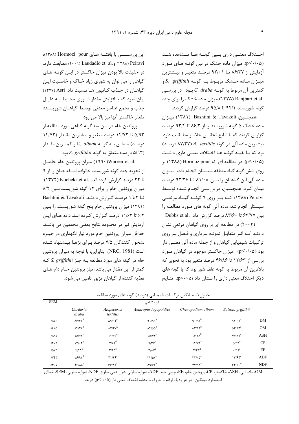اختلاف معنے داری بین گونیه هیا میشاهده شید (p<٠/٠۵). میزان ماده خشک در بین گونـه هـای مـورد آزمایش از ۸۶/۳۷ تا ۹۲/۰۱ درصد متغیر و بیشترین ميزان مـاده خـشک مربـوط بـه گونـه S. griffithii . كمترين آن مربوط به گونـه C. draba بـود. در بررسـي .Ranjbari et al (۱۳۷۵) میزان ماده خشک را برای چند گونه شوریسند ۹۴/۱ تا ۹۵/۸ درصد گزارش کردند.

همچنـين، Bashtini & Tavakoli (١٣٨١) ميـزان ماده خشک ۵ گونه شوریسند را از ۸۶/۳ تا ۹۳/۴ درصد گزارش کردند که با نتایج تحقیــق حاضـر مطابقـت دارد. بیشترین ماده آلی در گونه AV/۳۷) A. textillis درصد) بود که بـا بقيــه گونــه هــا اخــتلاف معنــى دارى داشـت (p<٠/٠۵). در مطالعه ای که Hormozipour (١٣٨٨) بر روی شش گونه گیاه منطقه سیستان انجام داد، میزان ماده آلی این گیاهـان را بـین ۸۱/۰۸ تــا ۹۲/۳۶ درصـد بیان کرد. همچنین، در بررسی انجام شده توسط Peiravi (۱۳۸۸) که بهر روی ۹ گونسه گیساه مرتعمی سیستان انجام شد، ماده آلی گونه های مورد مطالعه را Dubbs et al. .بین ۶۳/۷۷ تا ۸۳/۶۰ درصد گزارش داد.

(۲۰۰۳) در مطالعه ای بر روی گیاهان مرتعی نشان دادنـد كـه اثـر متقابـل نمونـه بـرداري و فـصل بـر روى ترکیبات شیمیایی گیاهان و از جمله ماده آلی معنـی دار بود (p<٠/٠۵). میزان خاکستر موجود در گیاهان مورد بررسی از ۱۲/۶۳ تا ۴۶/۸۶ درصد متغیر بود به نحوی که بالاترین آن مربوط به گونه علف شور بود که با گونه های دیگر اختلاف معنی داری را نــشان داد (p<۰/۰۵). نتــایج

این بررســــــی با یافتـــه هــای Hormozi pour (۱۳۸۸)، (۱۳۸۸) Peiravi و Laudadio et al. (۲۰۰۹) مطابقت دارد. در حقیقت بالا بودن میزان خاکستر در ایـن گونـه هـای گیاهی را می توان به شوری زیاد خـاک و خاصـیت ایـن گیاهـان در جـذب كـاتيون هـا نـسبت داد. Asri (١٣٧٧) بیان نمود که با افزایش مقدار شـوری محـیط بـه دلیـل جذب و تجمع عناصر معدنی توسـط گیاهـان شوریـسند مقدار خاکستر آنها نیز بالا می رود.

پروتئین خام در بین سه گونه گیاهی مورد مطالعه از ۵/۹۳ تا ۱۴/۷۳ درصد متغیر و بیشترین مقـدار (۱۴/۷۳  $C.$   $d$ درصد) متعلـق بـه گونـه  $C.$   $d$  و كمتـرين مقـدار .۵/۹۳ درصد) متعلق به گونه S. griffithii بود.

.Narren et al) ميزان پروتئين خام حاصل از تجزیه چند گونه شورپسند خانواده اسفناجیان را از ۹ تا ۲۲ درصد گزارش کرده اند. .Kocheki et al (۱۳۷۲) میزان پروتئین خام را برای ١٢ گونه شورپسند بين ٨/٢ تا ١٩/٢ درصد گزارش دادند. Bashtini & Tavakoli (۱۳۸۱) میزان پروتئین خام پنج گونه شوریسند را بـین ۶/۲ تا ۱۱/۶۳ درصد گزارش کرده انـد. داده هـای ايـن آزمایش نیز در محدوده نتایج بعضی محققین می باشـد. حداقل میزان پروتئین خام مورد نیاز نگهداری در جیـره نشخوار کنندگان ۷/۵ درصد بـرای بزهـا پیـشنهاد شـده است (NRC, 1981). بنابراين، با توجه به ميزان پروتئين خام در گونه های مورد مطالعه بـه جـز S. griffithii کـه کمتر از این مقدار می باشد، نیاز پروتئین خـام دام هـای تغذيه كننده از گياهان مزبور تامين مي شود.

| <b>SEM</b>             | گونه گیاهی                                  |                                                         |                             |                                                     |                                                  |            |
|------------------------|---------------------------------------------|---------------------------------------------------------|-----------------------------|-----------------------------------------------------|--------------------------------------------------|------------|
|                        | Cardaria<br>draba                           | Alopecurus<br>textillis                                 | Aeluropus logopoidies       | Chenopodium album                                   | Salsola griffithii                               |            |
| $\cdot/\Delta V \cdot$ | $\lambda$ ۶/۳ $\gamma^d$                    | $\lambda$ 9/ $\cdot$ $\zeta$ <sup>c</sup>               | $91/91^a$                   | 9.190                                               | $97/1^a$                                         | DM         |
| .1990                  | $\lambda f/\lambda^b$                       | $\lambda Y/Y^a$                                         | $\lambda f/\Delta \Delta^b$ | $\lambda \Upsilon / \lambda \Upsilon^b$             | $\Delta \Upsilon / \Upsilon^c$                   | <b>OM</b>  |
| .7090                  | 10/7                                        | 17/5                                                    | $10/Ff^b$                   | $18/10^b$                                           | $f$ ۶/۸ $v$ <sup>a</sup>                         | <b>ASH</b> |
| $\cdot$ /٢ $\cdot$     | 17.5                                        | $Y/\mathcal{F}^d$                                       | $9/\tau\gamma^c$            | $15/yr^a$                                           | $\Delta$ /9 $\tau$ <sup>e</sup>                  | CP         |
| .784                   | $F/Ff^a$                                    | $\mathbf{r}/\mathbf{r}\boldsymbol{\omega}^{\mathrm{b}}$ | $Y/\Lambda V^c$             | $\Upsilon/\Upsilon$ <sup>d</sup>                    | $.47^e$                                          | EE         |
| .795                   | $\mathbf{Y}$ $\mathbf{Y}$  9 $\mathbf{Y}^d$ | $f1/f5^a$                                               | $\tau\tau/\Delta\gamma^b$   | $\mathbf{r}\mathbf{r}/\cdot\mathbf{r}^{\mathrm{c}}$ | 17/5                                             | ADF        |
| $1/f \cdot Y$          | $f$ ۶/۸ $\Lambda$ °                         | $55/10^a$                                               | $\Delta$ 9/ $55$            | $fV/\lambda^c$                                      | $\mathbf{r}\mathbf{r}/\mathbf{r}\cdot\mathbf{d}$ | <b>NDF</b> |

جدول ١- میانگین ترکیبات شیمیایی (درصد) گونه های مورد مطالعه

OM، ماده آلي، ASH، خاكستر، CP، پروتئين خام، EE، چربي خام، ADF، ديواره سلولي بدون همي سلولز، NDF، ديواره سلولي، SEM، خطاي استاندارد میانگین. در هر ردیف ارقام با حروف نا مشابه اختلاف معنی دار (p≤٠/٠۵) دارند.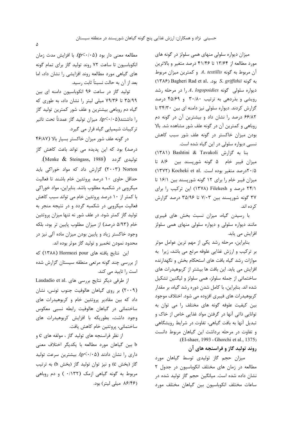میزان دیواره سلولی منهای همی سلولز در گونه های مورد مطالعه از ۱۳/۶۴ تا ۴۱/۴۶ درصد متغیر و بالاترین آن مربوط به گونه A. textillis و کمترین میزان مربوط (١٣٨٤) Bagheri Rad et al. بود. S. griffithii به گونه دیواره سلولی گونه A. logopoidies را در مرحله رشد رویشی و بذردهی به ترتیب ۳۰/۸۰ و ۴۵/۶۹ درصد گزارش کردند. دیواره سلولی نیز دامنه ای بین ۳۴/۳۰ تا ۶۶/۸۲ درصد را نشان داد و بیشترین آن در گونه دم روباهی و کمترین آن در گونه علف شور مشاهده شد. بالا بودن میزان خاکستر در گونه علف شور سبب کاهش نسبی دیواره سلولی در این گیاه شده است.

بنا به گزارش Tavakoli (۱۳۸۱) Bashtini & Tavakoli ميزان فيبر خام ۵ گونه شورپسند بين ۸/۶ تا ۲۰/۵درصد متغیر بوده است. Kocheki et al. (۱۳۷۲) میزان فیبر خام را برای ۱۲ گونه شوریسند بین ۱۶/۱ تا ۲۴/۱ درصد و Filekesh (۱۳۷۸) این ترکیب را برای ۳۷ گونه شوریسند بین ۷/۰۳ تا ۳۵/۹۶ درصد گزارش کر ده اند.

با رسیدن گیاه، میزان نسبت بخش های فیبری مانند دیواره سلولی و دیواره سلولی منهای همی سلولز افزایش می یابد.

بنابراین، مرحله رشد یکی از مهم ترین عوامل موثر بر ترکیب و ارزش غذایی علوفه مرتع می باشد، زیرا به موازات رشد گیاه بافت های استحکام بخش و نگهدارنده افزایش می یابد. این بافت ها بیشتر از کربوهیدرات های ساختماتی از جمله سلولز، همی سلولز و لیگنین تشکیل شده اند. بنابراین، با کامل شدن دوره رشد گیاه، بر مقدار كربوهيدرات هاي فيبري افزوده مي شود. اختلاف موجود بین کیفیت علوفه گونه های مختلف را می توان به توانایی ذاتی آنها در گرفتن مواد غذایی خاص از خاک و تبدیل آنها به بافت گیاهی، تفاوت در شرایط رویشگاهی و تفاوت در مرحله برداشت این گیاهان مربوط دانست (El-shaer, 1993 : Ghorchi et al., 1375).

### روند تولید گاز و فراسنجه های آن

میزان حجم گاز تولیدی توسط گیاهان مورد مطالعه در زمان های مختلف انکوباسیون در جدول ۲ نشان داده شده است. میانگین حجم گاز تولید شده در ساعات مختلف انكوباسيون بين گياهان مختلف مورد

مطالعه معنى دار بود (p<٠/٠۵). با افزايش مدت زمان انکوباسیون تا ساعت ۷۲ روند تولید گاز برای تمام گونه های گیاهی مورد مطالعه روند افزایشی را نشان داد، اما بعد از آن به حالت نسبتاً ثابت رسید.

تولید گاز در ساعت ۹۶ انکوباسیون دامنه ای بین ۳۵/۹۹ تا ۷۹/۳۶ میلی لیتر را نشان داد، به طوری که گیاه دم روباهی بیشترین و علف شور کمترین تولید گاز ,ا داشتند(p≤٠/٠۵). میزان تولید گاز عمدتاً تحت تاثیر ترکیبات شیمیایی گیاه قرار می گیرد.

در گونه علف شور میزان خاکستر بسیار بالا (۴۶/۸۷ درصد) بود که این پدیده می تواند باعث کاهش گاز

توليدي گردد (Menke & Steingass, 1988). Norton (۲۰۰۳) گزارش داد که مواد خوراکی باید حداقل حاوی ۱۰ درصد پروتئین خام باشند تا فعالیت میکروبی در شکمبه مطلوب باشد. بنابراین، مواد خوراکی با کمتر از ۱۰ درصد پروتئین خام می تواند سبب کاهش فعالیت میکروبی در شکمبه گردد و در نتیجه منجر به تولید گاز کمتر شود. در علف شور نه تنها میزان پروتئین خام (۵/۹۳ درصد) از میزان مطلوب پایین تر بود، بلکه وجود خاکستر زیاد و پایین بودن میزان ماده آلی نیز در محدود نمودن تخمير و توليد گاز موثر بوده اند.

این نتایج یافته های Hormozi pour (۱۳۸۸) که از بررسی چند گونه مرتعی منطقه سیستان گزارش شده است را تایید می کند.

از طرفی دیگر نتایج بررسی های .Laudadio et al (۲۰۰۹) بر روی گیاهان هالوفیت جنوب تونس، نشان داد که بین مقادیر پروتئین خام و کربوهیدرات های ساختمانی در گیاهان هالوفیت رابطه نسبی معکوس وجود داشت، بطوریکه با افزایش کربوهیدرات های ساختماني، پروتئين خام كاهش يافت.

از نظر فراسنجه های تولید گاز ، مولفه های c و b بین گیاهان مورد مطالعه با یکدیگر اختلاف معنی داری را نشان دادند (p<۰/۰۵). بیشترین سرعت تولید گاز (بخش C) و نیز توان تولید گاز (بخش b) به ترتیب مربوط به گونه گیاهی ازمک (۱۳۲/۰) و دم روباهی (۸۶/۴۶ میلی لیتر) بود.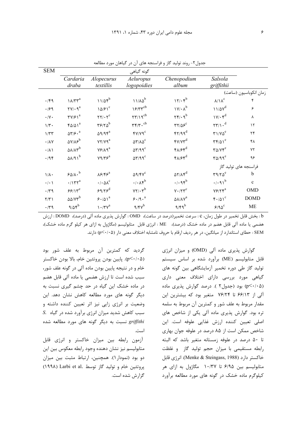|                                                        |                                                                                                        | گونه گیاهی                                                       |                                                                    |                                                                   |                         |
|--------------------------------------------------------|--------------------------------------------------------------------------------------------------------|------------------------------------------------------------------|--------------------------------------------------------------------|-------------------------------------------------------------------|-------------------------|
| Cardaria<br>draba                                      | Alopecurus<br>textillis                                                                                | Aeluropus<br>logopoidies                                         | Chenopodium<br>album                                               | Salsola<br>griffithii                                             |                         |
|                                                        |                                                                                                        |                                                                  |                                                                    |                                                                   | زمان انكوباسيون (ساعت)  |
| $\lambda/\tau\tau^a$                                   |                                                                                                        | $11/A\delta^b$                                                   | 17/6                                                               | $\lambda/\Lambda^c$                                               | ۴                       |
| $\mathbf{Y} \mathbf{V} / \cdot \mathbf{q}^a$           | $10/F1^c$                                                                                              | $15/Tr^{cb}$                                                     | $\mathcal{W}/\cdot \Lambda^b$                                      | $11/2V^d$                                                         | ۶                       |
| $\mathsf{TV}/\mathsf{F} \, \backslash^{\rm a}$         | $\mathbf{Y} \mathbf{Y}/\boldsymbol{\cdot} \mathbf{Y}^c$                                                | $\tau\tau/\gamma e^{cb}$                                         | $\mathbf{Y} \mathbf{Y} \cdot \mathbf{q}^b$                         | $1V/\cdot f^d$                                                    | λ                       |
| $\mathfrak{r}\Delta/\Delta\operatorname{V}^a$          |                                                                                                        | $\tau\tau/\tau\cdot^{\text{cb}}$                                 | $\mathbf{r}\mathbf{r}/\mathbf{r}$                                  | $\tau\tau/\gamma \cdot d$                                         | $\gamma$                |
| $\Delta \Upsilon / \mathfrak{S} \cdot {^{\mathrm{a}}}$ | $\Delta$ 9/9 $\mathfrak{r}^a$                                                                          | $fV/YQ^c$                                                        | $f\gamma/q q^d$                                                    | $\tau \gamma/\gamma \Delta^e$                                     | $\mathbf{Y} \mathbf{f}$ |
| $\Delta V/\lambda P^b$                                 | $\mathsf{Y}\mathsf{Y}/\mathsf{Y}\mathsf{q}^a$                                                          | $\Delta\Upsilon/\Lambda\Delta^{\rm c}$                           | $fV/Vr^d$                                                          | $\Upsilon \Upsilon / \Delta V^e$                                  | ۴۸                      |
| $\Delta\lambda/\lambda\tau^b$                          | $\mathsf{Y}\mathsf{P}/\mathsf{A}\mathsf{q}^{\mathrm{a}}$                                               | $\Delta \Upsilon / 99^c$                                         | $f\Lambda/ff^d$                                                    | $\mathbf{Y}\Delta/\mathbf{Y}\mathbf{Y}^e$                         | $Y\Upsilon$             |
| $0.191^b$                                              | $\mathsf{Y} \mathsf{Q} / \mathsf{Y} \mathsf{S}^a$                                                      | $\Delta \Upsilon / 99^c$                                         | $f\lambda/ff^d$                                                    | $\mathbf{r}\Delta/\mathbf{q}e^{\mathbf{e}}$                       | ۹۶                      |
|                                                        |                                                                                                        |                                                                  |                                                                    |                                                                   | فراسنجه های تولید گاز   |
| $50/10^{6}$                                            | $\lambda$ ۶/۴۶ <sup>a</sup>                                                                            | $\Delta \mathcal{A}/\mathfrak{F}\mathsf{V}^{\mathrm{C}}$         | $\Delta Y/\Lambda \mathfrak{r}^d$                                  | $\mathbf{r} \mathbf{a}/\mathbf{r} \boldsymbol{\Delta}^\mathrm{e}$ | $\mathbf b$             |
| $\cdot/\gamma\tau\tau^a$                               | $\cdot/\cdot \Delta \lambda^c$                                                                         | $\cdot/\cdot\Lambda$ rb                                          | .4.95                                                              | $\cdot$ / $\cdot$ 9) <sup>b</sup>                                 | $\mathbf c$             |
| 55/15                                                  | $59/75^d$                                                                                              | $\mathsf{V}\mathsf{Y}/\boldsymbol{\cdot}\mathsf{Y}^{\mathrm{b}}$ | $\mathsf{Y} \boldsymbol{\cdot} / \mathsf{Y} \mathsf{Y}^{\text{c}}$ | $Y$ ۶/۲۴ <sup>a</sup>                                             | <b>OMD</b>              |
|                                                        | $\mathop{\xi \cdot} / {\Delta \chi}^a$                                                                 | $\varphi\centerdot/\varphi\centerdot^a$                          | $\Delta\lambda/\lambda\Upsilon^a$                                  | $F \cdot / \Delta V^c$                                            | <b>DOMD</b>             |
| 9/06                                                   | $\ensuremath{\mathcal{N}}\xspace\cdot\ensuremath{\mathcal{N}}\xspace\ensuremath{\mathcal{N}}\xspace^a$ | $9/\mathfrak{r}\gamma^b$                                         | $9/59^b$                                                           | $\mathcal{F}/\mathfrak{A}\Delta^c$                                | <b>ME</b>               |
|                                                        | $\Delta\Delta/\Upsilon\Upsilon^{\rm b}$                                                                | $11/25^b$<br>$\mathbf{r}$ ۶/۲ $\boldsymbol{\delta}^{\mathrm{b}}$ |                                                                    |                                                                   |                         |

حدول۲- روند تولید گاز و فراسنجه های آن در گیاهان مورد مطالعه

b : بخش قابل تخمیر در طول زمان، c : سرعت تخمیر(درصد در ساعت)، OMD : گوارش پذیری ماده آلی (درصد)، DOMD : ارزش هضمی یا ماده آلی قابل هضم در ماده خشک (درصد)، ME : انرژی قابل متابولیسم (مگاژول به ازای هر کیلو گرم ماده خشک)، SEM : حطاي استاندارد از ميانگين، در هر رديف ارقام با حروف نامشابه اختلاف معنى دار (p<٠/٠۵) دارند.

گردید که کمترین آن مربوط به علف شور بود (p<٠/٠۵). پایین بودن پروتئین خام، بالا بودن خاکستر خام و در نتیجه پایین بودن ماده آلی در گونه علف شور، سبب شده است تا ارزش هضمی یا ماده آلی قابل هضم در ماده خشک این گیاه در حد چشم گیری نسبت به دیگر گونه های مورد مطالعه کاهش نشان دهد. این وضعیت بر انرژی زایی نیز اثر تعیین کننده داشته و S. سبب کاهش شدید میزان انرژی برآورد شده در گیاه griffithi نسبت به دیگر گونه های مورد مطالعه شده است.

آزمون رابطه بین میزان خاکستر و انرژی قابل متابوليسم نيز نشان دهنده وجود رابطه معكوس بين اين دو بود (نمودار ۱). همچنین، ارتباط مثبت بین میزان یروتئین خام و تولید گاز توسط .Larbi et al (١٩٩٨) گزارش شده است.

گوارش پذیری ماده آلی (OMD) و میزان انرژی قابل متابولیسم (ME) برآورد شده بر اساس سیستم تولید گاز طی دوره تخمیر آزمایشگاهی بین گونه های گیاهی مورد بررسی دارای اختلاف معنی داری (p<٠/٠۵) بود (جدول ٢). درصد گوارش پذیری ماده آلی از ۶۶/۱۳ تا ۷۶/۲۴ متغیر بود که بیشترین این مقدار مربوط به علف شور و کمترین آن مربوط به سلمه تره بود. گوارش پذیری ماده آلی یکی از شاخص های اصلی تعیین کننده ارزش غذایی علوفه است. این شاخص ممکن است از ۸۵ درصد در علوفه جوان بهاری تا ۵۰ درصد در علوفه زمستانه متغیر باشد که البته رابطه مستقیمی با میزان حجم تولید گاز و غلظت خاكستر دارد (Menke & Steingass, 1988). انرژى قابل متابولیسم بین ۶/۹۵ تا ۱۰/۳۷ مگاژول به ازای هر کیلوگرم ماده خشک در گونه های مورد مطالعه برآورد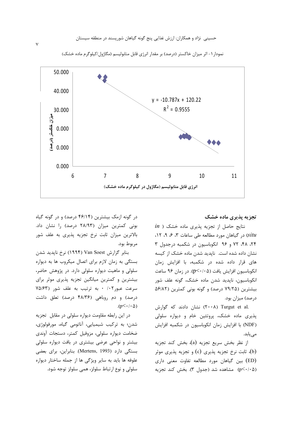حسینی ِ نژاد و همکاران: ارزش غذایی پنج گونه گیاهان شورپسند در منطقه سیستان



نمودار ۱- اثر میزان خاکستر (درصد) بر مقدار انرژی قابل متابولیسم (مگاژول/کیلوگرم ماده خشک)

### تجزیه پذیری ماده خشک

 $in$ ) نتایج حاصل از تجزیه پذیری ماده خشک situ) در گیاهان مورد مطالعه طی ساعات ۳، ۶، ۹، ۱۲، ۲۴، ۴۸، ۷۲ و ۹۶ انکوباسیون در شکمبه درجدول ۳ نشان داده شده است. ناپدید شدن ماده خشک از کیسه های قرار داده شده در شکمبه، با افزایش زمان انكوباسيون افزايش يافت (p<٠/٠۵). در زمان ۹۶ ساعت انکوباسیون، ناپدید شدن ماده خشک، گونه علف شور بیشترین (۷۹/۲۵ درصد) و گونه بونی کمترین (۵۶/۸۲ درصد) میزان بود.

.(۲۰۰۸) Turgut et al) نشان دادند که گوارش پذیری ماده خشک، پروتئین خام و دیواره سلولی (NDF) با افزایش زمان انکوباسیون در شکمبه افزایش مے یابد.

از نظر بخش سریع تجزیه (a)، بخش کند تجزیه (b)، ثابت نرخ تجزیه پذیری (c) و تجزیه پذیری موثر (ED) بین گیاهان مورد مطالعه تفاوت معنی داری (p<٠/٠۵) مشاهده شد (جدول ٣). بخش کند تجزیه

در گونه ازمک بیشترین (۴۶/۱۴ درصد) و در گونه گیاه بونی کمترین میزان (۲۸/۹۳ درصد) را نشان داد. بالاترین میزان ثابت نرخ تجزیه پذیری به علف شور مربوط بود.

بنابر گزارش Van Soest (۱۹۹۴) نرخ نایدید شدن بستگی به زمان لازم برای اتصال میکروب ها به دیواره سلولی و ماهیت دیواره سلولی دارد. در پژوهش حاضر، بیشترین و کمترین میانگین تجزیه پذیری موثر برای سرعت عبور۰/۰۲ به ترتیب به علف شور (۷۵/۶۳ درصد) و دم روباهی (۴۸/۳۶ درصد) تعلق داشت  $(p<\cdot/\cdot \Delta)$ 

در این رابطه مقاومت دیواره سلولی در مقابل تجزیه شدن؛ به ترکیب شیمیایی، آناتومی گیاه، مورفولوژی، ضخامت دیواره سلولی، مزوفیل کمتر، دستجات آوندی بیشتر و نواحی عرضی بیشتری در بافت دیواره سلولی بستگی دارد (Mertens, 1993). بنابراین، برای بعضی علوفه ها بايد به ساير ويژگي ها از جمله ساختار ديواره سلولي و نوع ارتباط سلولز، همي سلولز توجه شود.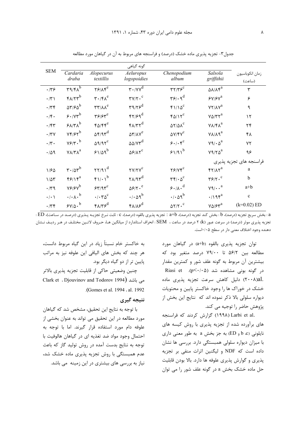| <b>SEM</b>                                                           | Cardaria                                             | Alopecurus                                     | Aeluropus                                                    | Chenopodium                                         | Salsola                                                | زمان انكوباسيون         |
|----------------------------------------------------------------------|------------------------------------------------------|------------------------------------------------|--------------------------------------------------------------|-----------------------------------------------------|--------------------------------------------------------|-------------------------|
|                                                                      | draba                                                | textillis                                      | logopoidies                                                  | album                                               | griffithii                                             | (ساعت)                  |
| $\cdot$ /٣۶                                                          | $r9/r\overline{\lambda^{b}}$                         | $Y5/AF^e$                                      | $\mathbf{r} \cdot \mathbf{y} \sqrt{\mathbf{v}^{\mathbf{d}}}$ | $\mathbf{r}\mathbf{r}/\mathbf{r}\mathbf{s}^c$       | $\Delta\lambda/\lambda$ ۴ <sup>a</sup>                 | $\mathbf{r}$            |
| $\cdot/\tau$                                                         | $f_A/\tau r^b$                                       | $\mathbf{r} \cdot \mathbf{r} \cdot \mathbf{r}$ | $\Upsilon V/\Upsilon \cdot$ <sup>c</sup>                     | $\mathbf{r}\mathbf{s}/\mathbf{q}^d$                 | $SY/SY^a$                                              | ۶                       |
| $\cdot$ /٣۴                                                          | $\Delta \mathbf{Y}/\mathbf{S} \Delta^{\mathrm{b}}$   | $\mathsf{r}\mathsf{r}/\mathsf{r}\mathsf{v}^e$  | $\mathbf{r}$ 9/۲۶ <sup>d</sup>                               | $f1/\Delta^c$                                       | $YY/AY^a$                                              | ٩                       |
| $\cdot$ /۴.                                                          | $5.7v^b$                                             | $\mathbf{y}\mathbf{y}/\mathbf{y}$              | $f\gamma/\gamma q^d$                                         | $f\Delta/\Upsilon^c$                                | $V\Delta/\Upsilon\Upsilon^a$                           | $\mathcal{N}$           |
| $\cdot$ /۴۳                                                          | $X/\gamma\lambda^b$                                  | $f\Delta/ff^e$                                 | $f\Lambda/\tau\tau^d$                                        | $\Delta Y/\Delta \lambda^C$                         | $V\Lambda/\mathfrak{F}\Lambda^a$                       | ٢۴                      |
| $\cdot$ /٣٧                                                          | $Yf/FY^b$                                            | $\Delta f$ /9 $\tau$ <sup>d</sup>              | $\Delta \Upsilon / \Delta V^e$                               | $\Delta V/\gamma V^C$                               | $V\lambda/\lambda$ ۹ <sup>a</sup>                      | ۴۸                      |
| $\boldsymbol{\cdot} \,/\boldsymbol{\curlyvee} \, \boldsymbol{\cdot}$ | $v \xi / \tau \cdot b$                               | $\Delta$ 9/9 $\tau$ <sup>c</sup>               | $\Delta\Delta/Vr^d$                                          | 5.1.5                                               | $V9/\cdot \Delta^a$                                    | ٧٢                      |
| $\cdot/\Delta$ 9                                                     | $V\Lambda/\Upsilon\Lambda^a$                         | $51/09^b$                                      | $\Delta$ ۶/۸۲ <sup>c</sup>                                   | $51/91^b$                                           | $Y9/T0^a$                                              | ۹۶                      |
|                                                                      |                                                      |                                                |                                                              |                                                     |                                                        | فراسنجه های تجزیه پذیری |
| 1/50                                                                 | $r \cdot \Delta r^b$                                 | $\tau\tau/q\gamma^d$                           | $\tau v/\tau v^c$                                            | $YY/YY^C$                                           | $FT/AT^a$                                              | a                       |
| $1/\Delta \mathsf{r}$                                                | $f$ $f$ $f$ $\uparrow$ $f$ <sup><math>a</math></sup> | $f \wedge (\cdot)$                             | $\gamma \lambda / 9 \gamma^d$                                | $\mathbf{r}\mathbf{r}/\cdot\mathbf{r}^{\mathrm{c}}$ | $\mathbf{Y}$ $\mathbf{S}$ $\mathbf{Y}$ $\cdot$ $\cdot$ | $\mathbf b$             |
| $\cdot$ /٣٩                                                          | $v \epsilon / \epsilon v^b$                          | $57/97^c$                                      | $\Delta$ ۶/۲. <sup>e</sup>                                   | $9.1\cdot\text{A} \cdot \text{d}$                   | $\gamma$ ٩/ $\cdot$ $\cdot$ <sup>a</sup>               | a+b                     |
| $\cdot/\cdot$                                                        | $\cdot/\cdot \wedge \cdot^b$                         | $\cdot/\cdot\tau\Delta^c$                      | $\cdot$ / $\cdot$ $\circ$ 9 <sup>b</sup>                     | $\cdot$ / $\cdot$ $\circ$ 9 <sup>b</sup>            | $\cdot/\gamma$ 9 $\gamma^a$                            | $\mathbf{c}$            |
| $\cdot$ /٣۴                                                          | $5y/a \cdot b$                                       | $f\Lambda/\tau e^d$                            | $f \wedge / \wedge f^d$                                      | $\Delta Y/Y \cdot$ C                                | $\mathsf{Y}\Delta/\mathsf{F}\mathsf{Y}^{\mathrm{a}}$   | $(k=0.02)$ ED           |

جدول۳- تجزیه پذیری ماده خشک (درصد) و فراسنجه های مربوط به آن در گیاهان مورد مطالعه

a : بخش سريع تجزيه (درصد)، b : بخش كند تجزيه (درصد)، a+b : تجزيه يذيري بالقوه (درصد)، c : ثابت نـرخ تجزيـه يـذيري (درصـد در سـاعت)، ED : تجزیه پذیری موثر (درصد) در سرعت عبور (K ) ۲ درصد در ساعت ، SEM : انحراف استاندارد از میانگین هـا، حـروف لاتـین مختلـف در هـر ردیـف نـشان دهنده وجود اختلاف معنى دار در سطح ۰/۰۵است.

> توان تجزیه پذیری بالقوه (a+b) در گیاهان مورد مطالعه بين ٥۶/٢ تا ٧٩/٠٠ درصد متغير بود كه بیشترین آن مربوط به گونه علف شور و کمترین مقدار در گونه بونی مشاهده شد (p<٠/٠۵). Riasi et .x + ٨) دليل كاهش سرعت تجزيه پذيرى ماده خشک در خوراک ها را وجود خاکستر پایین و محتویات دیواره سلولی بالا ذکر نموده اند که نتایج این بخش از پژوهش حاضر را توجیه می کند.

> .Larbi et al (۱۹۹۸) گزارش کردند که فراسنجه های برآورده شده از تجزیه پذیری با روش کیسه های نايلوني (b ،c و ED) به جز بخش a به طور معنى دارى با میزان دیواره سلولی همبستگی دارد. بررسی ها نشان داده است که NDF و لیگنین اثرات منفی بر تجزیه پذیری و گوارش پذیری علوفه ها دارد. بالا بودن قابلیت حل ماده خشک بخش a در گونه علف شور را می توان

به خاکستر خام نسبتاً زیاد در این گیاه مربوط دانست، هر چند که بخش های الیافی این علوفه نیز به مراتب یایین تر از دو گیاه دیگر بود.

چنین وضعیتی حاکی از قابلیت تجزیه پذیری بالاتر می باشد (Djouvinov and Todorov 1994) می (Gomes et al. 1994, al. 1992).

# نتيجه گيري

با توجه به نتايج اين تحقيق، مشخص شد كه گياهان مورد مطالعه در این تحقیق می تواند به عنوان بخشی از علوفه دام مورد استفاده قرار گیرند. اما با توجه به احتمال وجود مواد ضد تغذيه اي در گياهان هالوفيت با توجه به نتایج بدست آمده در روش تولید گاز که باعث عدم همبستگی با روش تجزیه پذیری ماده خشک شد، نیاز به بررسی های بیشتری در این زمینه ًمی باشد.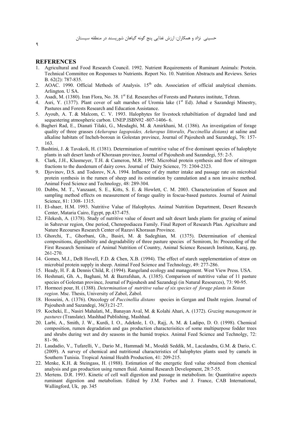حسینی نژاد و همکاران: ارزش غذایی پنج گونه گیاهان شورپسند در منطقه سیستان

#### **REFERENCES**

- 1. Agricultural and Food Research Council. 1992. Nutrient Requirements of Ruminant Animals: Protein. Technical Committee on Responses to Nutrients. Report No. 10. Nutrition Abstracts and Reviews. Series B. 62(2): 787-835.
- 2. AOAC. 1990. Official Methods of Analysis. 15<sup>th</sup> edn. Association of official analytical chemists. Arlington. U SA.
- 3. Asadi, M. (1380). Iran Flora, No. 38. 1<sup>st</sup> Ed. Researches of Forests and Pastures institute, Tehran.
- 4. Asri, Y. (1377). Plant cover of salt marshes of Uromia lake  $(1<sup>st</sup> Ed)$ . Jehad e Sazandegi Minestry, Pastures and Forests Research and Education Assistance.
- 5. Ayoub, A. T. & Malcom, C. V. 1993. Halophytes for livestock rehabiltiation of degraded land and sequestering atmospheric carbon. UNEP.ISBN92 -807-1406-6.
- 6. Bagheri Rad, E., Dianati Tilaki, G., Mesdaghi, M. & Amirkhani, M. (1386). An investigation of forage quality of three grasses *(Aeluropus lagopoides, Aeluropus littoralis, Puccinellia distans)* at saline and alkaline habitats of Incheh-boroun in Golestan province, Journal of Pajouhesh and Sazandegi, 76: 157- 163.
- 7. Bashtini, J. & Tavakoli, H. (1381). Determination of nutritive value of five dominant species of halophyte plants in salt desert lands of Khorasan province, Journal of Pajouhesh and Sazandegi, 55: 2-5.
- 8. Clark, J.H., Klusmeyer, T.H. & Cameron, M.R. 1992. Microbial protein synthesis and flow of nitrogen fractions to the duodenum of dairy cows. Journal of Dairy Science, 75: 2304-2323.
- 9. Djovinov, D.S. and Todorov, N.A. 1994. Influence of dry matter intake and passage rate on microbial protein synthesis in the rumen of sheep and its estimation by cannulation and a non invasive method. Animal Feed Science and Technology, 48: 289-304.
- 10. Dubbs, M. T., Vanzaant, S. E., Kitts, S. E. & Howlett, C. M. 2003. Characterization of Season and sampling method effects on measurement of forage quality in fescue-based pastures. Journal of Animal Science, 81: 1308- 1315.
- 11. El-shaer, H.M. 1993. Nutritive Value of Halophytes. Animal Nutrition Department, Desert Research Center, Mataria Cairo, Egypt, pp.437-475.
- 12. Filekesh, A. (1378). Study of nutritive value of desert and salt desert lands plants for grazing of animal in Sabzevar region, One period, Chenopodiacea Family. Final Report of Research Plan. Agriculture and Nature Recourses Research Center of Razavi Khorasan Province.
- 13. Ghorchi, T., Ghorbani, Gh., Basiri, M. & Sadeghian, M. (1375). Determination of chemical compositions, digestibility and degradability of three pasture species of Semirom, In: Proceeding of the First Research Seminare of Animal Nutrition of Country, Animal Science Research Institute, Karaj, pp. 261-270.
- 14. Gomes, M.J., DeB Hovell, F.D. & Chen, X.B. (1994). The effect of starch supplementation of straw on microbial protein supply in sheep. Animal Feed Science and Technology, 49: 277-286.
- 15. Heady, H. F. & Dennis Child, R. (1994). Rangeland ecology and management. West View Press. USA.
- 16. Heshmati, Gh. A., Baghani, M. & Bazrafshan, A. (1385). Comparison of nutritive value of 11 pasture species of Golestan province, Journal of Pajouhesh and Sazandegi (in Natural Resources), 73: 90-95.
- 17. Hormozi pour, H. (1388). *Determination of nutritive value of six species of forage plants in Sistan region*. Msc. Thesis, University of Zabol, Zabol.
- 18. Hosseini, A. (1376). Otecology of *Puccinellia distans* species in Gorgan and Dasht region. Journal of Pajouhesh and Sazandegi, 36(3):21-27.
- 19. Kocheki, E., Nasiri Mahalati, M., Banayan Aval, M. & Kolahi Ahari, A. (1372). *Grazing management in pastures* (Translate). Mashhad Publishing, Mashhad.
- 20. Larbi, A., Smith, J. W., Kurdi, I. O., Adeknle, I. O., Rajj, A. M. & Ladipo, D. O. (1998). Chemical composition, rumen degradation and gas production characterisitics of some multipurpose fodder trees and shrubs during wet and dry seasons in the humid tropics. Animal Feed Science and Technolgy, 72: 81- 96.
- 21. Laudadio, V., Tufarelli, V., Dario M., Hammadi M., Mouldi Seddik, M., Lacalandra, G.M. & Dario, C. (2009). A survey of chemical and nutritional characteristics of halophytes plants used by camels in Southern Tunisia. Tropical Animal Health Production, 41: 209-215.
- 22. Menke, K.H. & Steingass, H. (1988). Estimation of the energetic feed value obtained from chemical analysis and gas production using rumen fluid. Animal Research Development, 28:7-55.
- 23. Mertens. D.R. 1993. Kinetic of cell wall digestion and passage in metabolism. In: Quantitative aspects ruminant digestion and metabolism. Edited by J.M. Forbes and J. France, CAB International, Wallingford, Uk, pp. 345